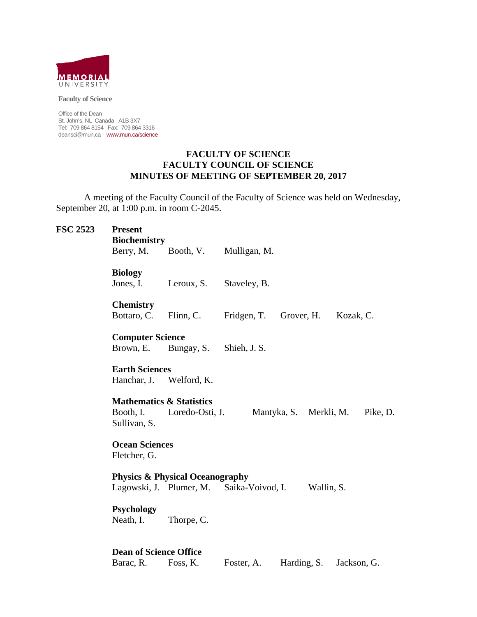

**Faculty of Science** 

Office of the Dean St. John's, NL Canada A1B 3X7 Tel: 709 864 8154 Fax: 709 864 3316 deansci@mun.ca www.mun.ca/science

#### **FACULTY OF SCIENCE FACULTY COUNCIL OF SCIENCE MINUTES OF MEETING OF SEPTEMBER 20, 2017**

 A meeting of the Faculty Council of the Faculty of Science was held on Wednesday, September 20, at 1:00 p.m. in room C-2045.

| <b>FSC 2523</b> | <b>Present</b><br><b>Biochemistry</b><br>Berry, M.               | Booth, V.               | Mulligan, M.                             |
|-----------------|------------------------------------------------------------------|-------------------------|------------------------------------------|
|                 | <b>Biology</b><br>Jones, I.                                      | Leroux, S.              | Staveley, B.                             |
|                 | <b>Chemistry</b><br>Bottaro, C.                                  | Flinn, C.               | Fridgen, T.<br>Grover, H.<br>Kozak, C.   |
|                 | <b>Computer Science</b><br>Brown, E.                             | Bungay, S.              | Shieh, J. S.                             |
|                 | <b>Earth Sciences</b><br>Hanchar, J. Welford, K.                 |                         |                                          |
|                 | <b>Mathematics &amp; Statistics</b><br>Booth, I.<br>Sullivan, S. | Loredo-Osti, J.         | Mantyka, S. Merkli, M.<br>Pike, D.       |
|                 | <b>Ocean Sciences</b><br>Fletcher, G.                            |                         |                                          |
|                 | <b>Physics &amp; Physical Oceanography</b>                       |                         |                                          |
|                 |                                                                  | Lagowski, J. Plumer, M. | Saika-Voivod, I.<br>Wallin, S.           |
|                 | <b>Psychology</b><br>Neath, I.                                   | Thorpe, C.              |                                          |
|                 | <b>Dean of Science Office</b>                                    |                         |                                          |
|                 | Barac, R.                                                        | Foss, K.                | Harding, S.<br>Jackson, G.<br>Foster, A. |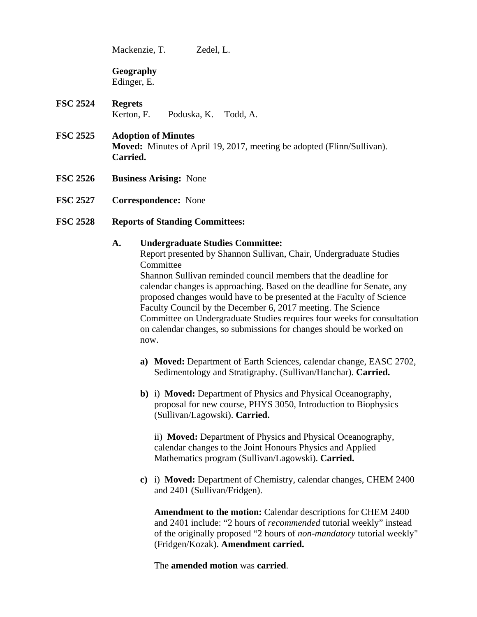Mackenzie, T. Zedel, L.

**Geography** 

Edinger, E.

- **FSC 2524 Regrets** Kerton, F. Poduska, K. Todd, A.
- **FSC 2525 Adoption of Minutes Moved:** Minutes of April 19, 2017, meeting be adopted (Flinn/Sullivan). **Carried.**
- **FSC 2526 Business Arising:** None
- **FSC 2527 Correspondence:** None

# **FSC 2528 Reports of Standing Committees:**

## **A. Undergraduate Studies Committee:**

Report presented by Shannon Sullivan, Chair, Undergraduate Studies **Committee** 

Shannon Sullivan reminded council members that the deadline for calendar changes is approaching. Based on the deadline for Senate, any proposed changes would have to be presented at the Faculty of Science Faculty Council by the December 6, 2017 meeting. The Science Committee on Undergraduate Studies requires four weeks for consultation on calendar changes, so submissions for changes should be worked on now.

- **a) Moved:** Department of Earth Sciences, calendar change, EASC 2702, Sedimentology and Stratigraphy. (Sullivan/Hanchar). **Carried.**
- **b)** i) **Moved:** Department of Physics and Physical Oceanography, proposal for new course, PHYS 3050, Introduction to Biophysics (Sullivan/Lagowski). **Carried.**

ii) **Moved:** Department of Physics and Physical Oceanography, calendar changes to the Joint Honours Physics and Applied Mathematics program (Sullivan/Lagowski). **Carried.**

**c)** i) **Moved:** Department of Chemistry, calendar changes, CHEM 2400 and 2401 (Sullivan/Fridgen).

**Amendment to the motion:** Calendar descriptions for CHEM 2400 and 2401 include: "2 hours of *recommended* tutorial weekly" instead of the originally proposed "2 hours of *non-mandatory* tutorial weekly" (Fridgen/Kozak). **Amendment carried.** 

The **amended motion** was **carried**.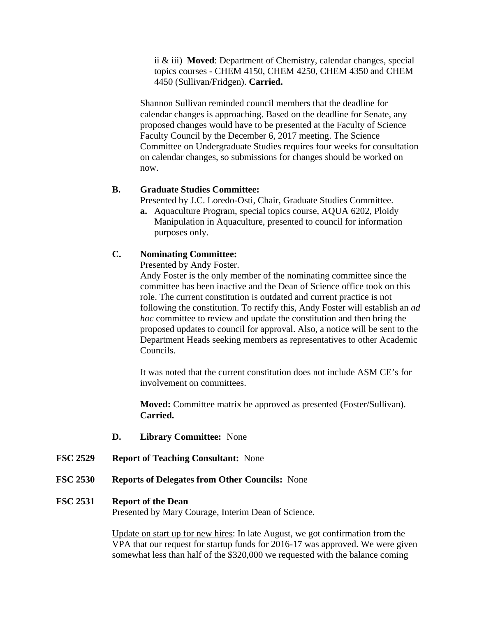ii & iii) **Moved**: Department of Chemistry, calendar changes, special topics courses - CHEM 4150, CHEM 4250, CHEM 4350 and CHEM 4450 (Sullivan/Fridgen). **Carried.** 

Shannon Sullivan reminded council members that the deadline for calendar changes is approaching. Based on the deadline for Senate, any proposed changes would have to be presented at the Faculty of Science Faculty Council by the December 6, 2017 meeting. The Science Committee on Undergraduate Studies requires four weeks for consultation on calendar changes, so submissions for changes should be worked on now.

## **B. Graduate Studies Committee:**

Presented by J.C. Loredo-Osti, Chair, Graduate Studies Committee.

**a.** Aquaculture Program, special topics course, AQUA 6202, Ploidy Manipulation in Aquaculture, presented to council for information purposes only.

## **C. Nominating Committee:**

Presented by Andy Foster.

Andy Foster is the only member of the nominating committee since the committee has been inactive and the Dean of Science office took on this role. The current constitution is outdated and current practice is not following the constitution. To rectify this, Andy Foster will establish an *ad hoc* committee to review and update the constitution and then bring the proposed updates to council for approval. Also, a notice will be sent to the Department Heads seeking members as representatives to other Academic Councils.

It was noted that the current constitution does not include ASM CE's for involvement on committees.

**Moved:** Committee matrix be approved as presented (Foster/Sullivan). **Carried.** 

- **D. Library Committee:** None
- **FSC 2529 Report of Teaching Consultant:** None
- **FSC 2530 Reports of Delegates from Other Councils:** None

#### **FSC 2531 Report of the Dean**

Presented by Mary Courage, Interim Dean of Science.

Update on start up for new hires: In late August, we got confirmation from the VPA that our request for startup funds for 2016-17 was approved. We were given somewhat less than half of the \$320,000 we requested with the balance coming